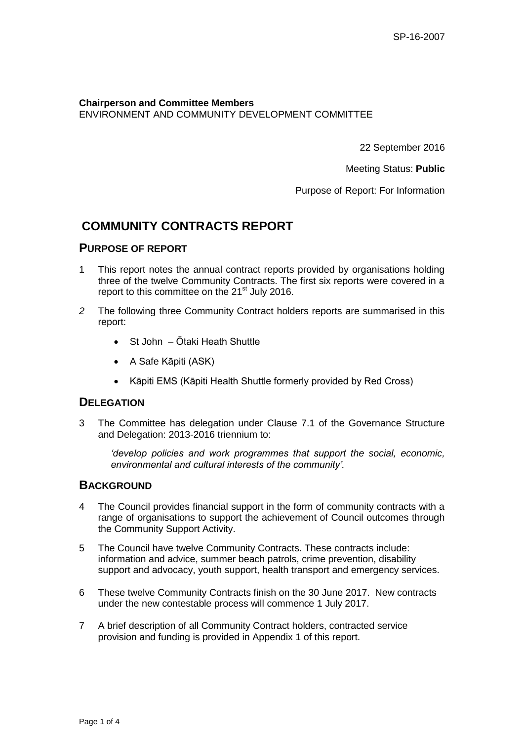#### **Chairperson and Committee Members**  ENVIRONMENT AND COMMUNITY DEVELOPMENT COMMITTEE

22 September 2016

Meeting Status: **Public**

Purpose of Report: For Information

# **COMMUNITY CONTRACTS REPORT**

### **PURPOSE OF REPORT**

- 1 This report notes the annual contract reports provided by organisations holding three of the twelve Community Contracts. The first six reports were covered in a report to this committee on the  $21<sup>st</sup>$  July 2016.
- *2* The following three Community Contract holders reports are summarised in this report:
	- St John Ōtaki Heath Shuttle
	- A Safe Kāpiti (ASK)
	- Kāpiti EMS (Kāpiti Health Shuttle formerly provided by Red Cross)

### **DELEGATION**

3 The Committee has delegation under Clause 7.1 of the Governance Structure and Delegation: 2013-2016 triennium to:

*'develop policies and work programmes that support the social, economic, environmental and cultural interests of the community'.*

#### **BACKGROUND**

- 4 The Council provides financial support in the form of community contracts with a range of organisations to support the achievement of Council outcomes through the Community Support Activity.
- 5 The Council have twelve Community Contracts. These contracts include: information and advice, summer beach patrols, crime prevention, disability support and advocacy, youth support, health transport and emergency services.
- 6 These twelve Community Contracts finish on the 30 June 2017. New contracts under the new contestable process will commence 1 July 2017.
- 7 A brief description of all Community Contract holders, contracted service provision and funding is provided in Appendix 1 of this report.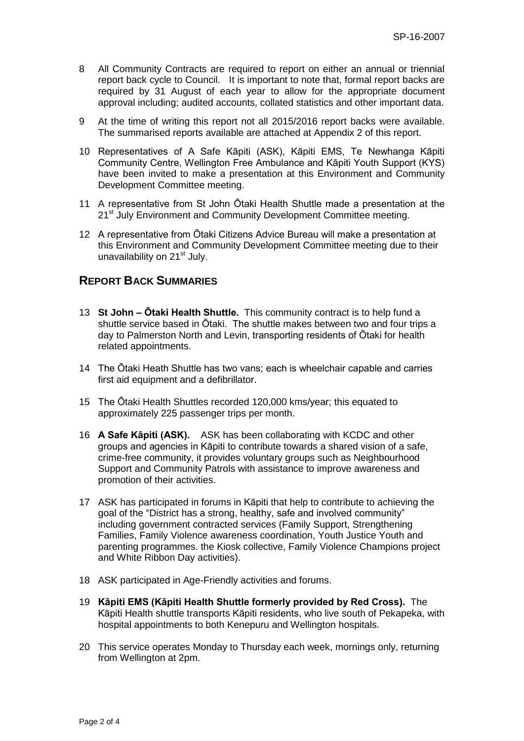- 8 All Community Contracts are required to report on either an annual or triennial report back cycle to Council. It is important to note that, formal report backs are required by 31 August of each year to allow for the appropriate document approval including; audited accounts, collated statistics and other important data.
- 9 At the time of writing this report not all 2015/2016 report backs were available. The summarised reports available are attached at Appendix 2 of this report.
- 10 Representatives of A Safe Kāpiti (ASK), Kāpiti EMS, Te Newhanga Kāpiti Community Centre, Wellington Free Ambulance and Kāpiti Youth Support (KYS) have been invited to make a presentation at this Environment and Community Development Committee meeting.
- 11 A representative from St John Ōtaki Health Shuttle made a presentation at the 21<sup>st</sup> July Environment and Community Development Committee meeting.
- 12 A representative from Ōtaki Citizens Advice Bureau will make a presentation at this Environment and Community Development Committee meeting due to their unavailability on 21<sup>st</sup> July.

## **REPORT BACK SUMMARIES**

- 13 **St John – Ōtaki Health Shuttle.** This community contract is to help fund a shuttle service based in Ōtaki. The shuttle makes between two and four trips a day to Palmerston North and Levin, transporting residents of Ōtaki for health related appointments.
- 14 The Ōtaki Heath Shuttle has two vans; each is wheelchair capable and carries first aid equipment and a defibrillator.
- 15 The Ōtaki Health Shuttles recorded 120,000 kms/year; this equated to approximately 225 passenger trips per month.
- 16 **A Safe Kāpiti (ASK).** ASK has been collaborating with KCDC and other groups and agencies in Kāpiti to contribute towards a shared vision of a safe, crime-free community, it provides voluntary groups such as Neighbourhood Support and Community Patrols with assistance to improve awareness and promotion of their activities.
- 17 ASK has participated in forums in Kāpiti that help to contribute to achieving the goal of the "District has a strong, healthy, safe and involved community" including government contracted services (Family Support, Strengthening Families, Family Violence awareness coordination, Youth Justice Youth and parenting programmes. the Kiosk collective, Family Violence Champions project and White Ribbon Day activities).
- 18 ASK participated in Age-Friendly activities and forums.
- 19 **Kāpiti EMS (Kāpiti Health Shuttle formerly provided by Red Cross).** The Kāpiti Health shuttle transports Kāpiti residents, who live south of Pekapeka, with hospital appointments to both Kenepuru and Wellington hospitals.
- 20 This service operates Monday to Thursday each week, mornings only, returning from Wellington at 2pm.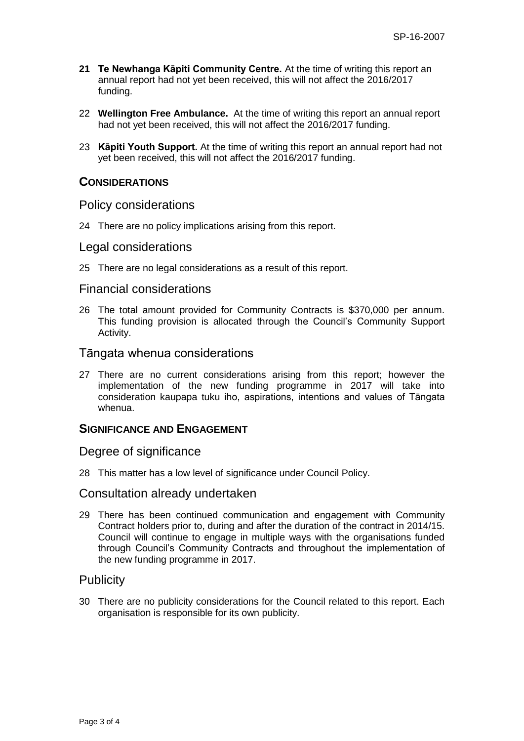- **21 Te Newhanga Kāpiti Community Centre.** At the time of writing this report an annual report had not yet been received, this will not affect the 2016/2017 funding.
- 22 **Wellington Free Ambulance.** At the time of writing this report an annual report had not yet been received, this will not affect the 2016/2017 funding.
- 23 **Kāpiti Youth Support.** At the time of writing this report an annual report had not yet been received, this will not affect the 2016/2017 funding.

### **CONSIDERATIONS**

### Policy considerations

24 There are no policy implications arising from this report.

#### Legal considerations

25 There are no legal considerations as a result of this report.

### Financial considerations

26 The total amount provided for Community Contracts is \$370,000 per annum. This funding provision is allocated through the Council's Community Support Activity.

### Tāngata whenua considerations

27 There are no current considerations arising from this report; however the implementation of the new funding programme in 2017 will take into consideration kaupapa tuku iho, aspirations, intentions and values of Tāngata whenua.

### **SIGNIFICANCE AND ENGAGEMENT**

### Degree of significance

28 This matter has a low level of significance under Council Policy.

#### Consultation already undertaken

29 There has been continued communication and engagement with Community Contract holders prior to, during and after the duration of the contract in 2014/15. Council will continue to engage in multiple ways with the organisations funded through Council's Community Contracts and throughout the implementation of the new funding programme in 2017.

### **Publicity**

30 There are no publicity considerations for the Council related to this report. Each organisation is responsible for its own publicity.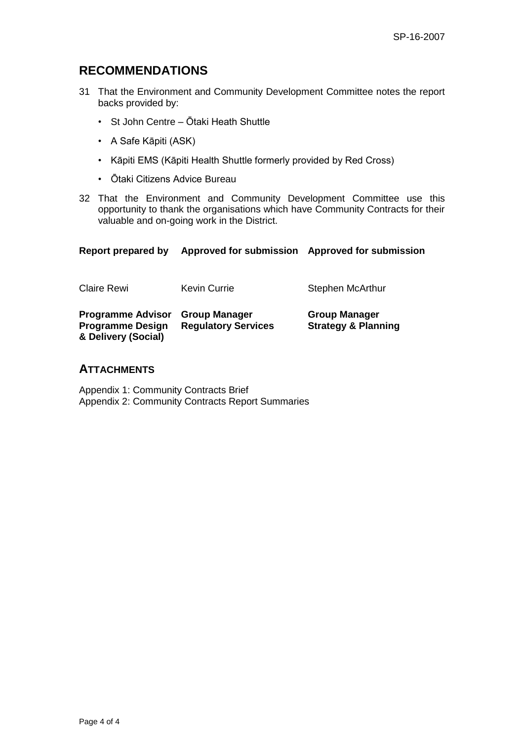# **RECOMMENDATIONS**

- 31 That the Environment and Community Development Committee notes the report backs provided by:
	- St John Centre Ōtaki Heath Shuttle
	- A Safe Kāpiti (ASK)
	- Kāpiti EMS (Kāpiti Health Shuttle formerly provided by Red Cross)
	- Ōtaki Citizens Advice Bureau
- 32 That the Environment and Community Development Committee use this opportunity to thank the organisations which have Community Contracts for their valuable and on-going work in the District.

| Report prepared by                                                         | Approved for submission                            | <b>Approved for submission</b>                         |  |
|----------------------------------------------------------------------------|----------------------------------------------------|--------------------------------------------------------|--|
| <b>Claire Rewi</b>                                                         | <b>Kevin Currie</b>                                | Stephen McArthur                                       |  |
| <b>Programme Advisor</b><br><b>Programme Design</b><br>& Delivery (Social) | <b>Group Manager</b><br><b>Regulatory Services</b> | <b>Group Manager</b><br><b>Strategy &amp; Planning</b> |  |

### **ATTACHMENTS**

Appendix 1: Community Contracts Brief Appendix 2: Community Contracts Report Summaries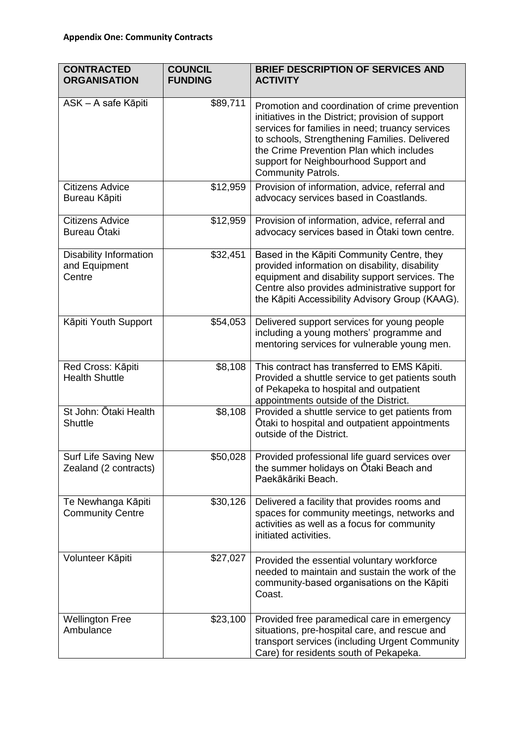| <b>CONTRACTED</b><br><b>ORGANISATION</b>                 | <b>COUNCIL</b><br><b>FUNDING</b> | <b>BRIEF DESCRIPTION OF SERVICES AND</b><br><b>ACTIVITY</b>                                                                                                                                                                                                                                                               |
|----------------------------------------------------------|----------------------------------|---------------------------------------------------------------------------------------------------------------------------------------------------------------------------------------------------------------------------------------------------------------------------------------------------------------------------|
| ASK - A safe Kāpiti                                      | \$89,711                         | Promotion and coordination of crime prevention<br>initiatives in the District; provision of support<br>services for families in need; truancy services<br>to schools, Strengthening Families. Delivered<br>the Crime Prevention Plan which includes<br>support for Neighbourhood Support and<br><b>Community Patrols.</b> |
| <b>Citizens Advice</b><br>Bureau Kāpiti                  | \$12,959                         | Provision of information, advice, referral and<br>advocacy services based in Coastlands.                                                                                                                                                                                                                                  |
| <b>Citizens Advice</b><br>Bureau Ōtaki                   | \$12,959                         | Provision of information, advice, referral and<br>advocacy services based in Otaki town centre.                                                                                                                                                                                                                           |
| <b>Disability Information</b><br>and Equipment<br>Centre | \$32,451                         | Based in the Kāpiti Community Centre, they<br>provided information on disability, disability<br>equipment and disability support services. The<br>Centre also provides administrative support for<br>the Kāpiti Accessibility Advisory Group (KAAG).                                                                      |
| Kāpiti Youth Support                                     | \$54,053                         | Delivered support services for young people<br>including a young mothers' programme and<br>mentoring services for vulnerable young men.                                                                                                                                                                                   |
| Red Cross: Kāpiti<br><b>Health Shuttle</b>               | \$8,108                          | This contract has transferred to EMS Kāpiti.<br>Provided a shuttle service to get patients south<br>of Pekapeka to hospital and outpatient<br>appointments outside of the District.                                                                                                                                       |
| St John: Ōtaki Health<br><b>Shuttle</b>                  | \$8,108                          | Provided a shuttle service to get patients from<br>Otaki to hospital and outpatient appointments<br>outside of the District.                                                                                                                                                                                              |
| Surf Life Saving New<br>Zealand (2 contracts)            | \$50,028                         | Provided professional life guard services over<br>the summer holidays on Otaki Beach and<br>Paekākāriki Beach.                                                                                                                                                                                                            |
| Te Newhanga Kāpiti<br><b>Community Centre</b>            | \$30,126                         | Delivered a facility that provides rooms and<br>spaces for community meetings, networks and<br>activities as well as a focus for community<br>initiated activities.                                                                                                                                                       |
| Volunteer Kāpiti                                         | \$27,027                         | Provided the essential voluntary workforce<br>needed to maintain and sustain the work of the<br>community-based organisations on the Kāpiti<br>Coast.                                                                                                                                                                     |
| <b>Wellington Free</b><br>Ambulance                      | \$23,100                         | Provided free paramedical care in emergency<br>situations, pre-hospital care, and rescue and<br>transport services (including Urgent Community<br>Care) for residents south of Pekapeka.                                                                                                                                  |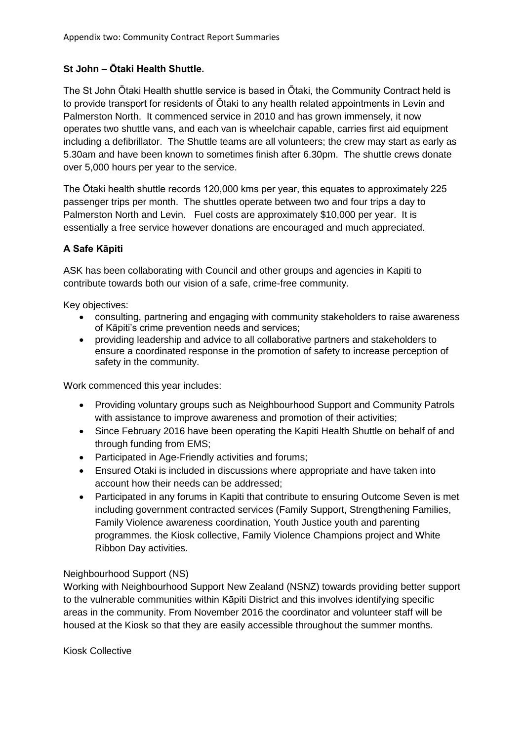## **St John – Ōtaki Health Shuttle.**

The St John Ōtaki Health shuttle service is based in Ōtaki, the Community Contract held is to provide transport for residents of Ōtaki to any health related appointments in Levin and Palmerston North. It commenced service in 2010 and has grown immensely, it now operates two shuttle vans, and each van is wheelchair capable, carries first aid equipment including a defibrillator. The Shuttle teams are all volunteers; the crew may start as early as 5.30am and have been known to sometimes finish after 6.30pm. The shuttle crews donate over 5,000 hours per year to the service.

The Ōtaki health shuttle records 120,000 kms per year, this equates to approximately 225 passenger trips per month. The shuttles operate between two and four trips a day to Palmerston North and Levin. Fuel costs are approximately \$10,000 per year. It is essentially a free service however donations are encouraged and much appreciated.

## **A Safe Kāpiti**

ASK has been collaborating with Council and other groups and agencies in Kapiti to contribute towards both our vision of a safe, crime-free community.

Key objectives:

- consulting, partnering and engaging with community stakeholders to raise awareness of Kāpiti's crime prevention needs and services;
- providing leadership and advice to all collaborative partners and stakeholders to ensure a coordinated response in the promotion of safety to increase perception of safety in the community.

Work commenced this year includes:

- Providing voluntary groups such as Neighbourhood Support and Community Patrols with assistance to improve awareness and promotion of their activities;
- Since February 2016 have been operating the Kapiti Health Shuttle on behalf of and through funding from EMS;
- Participated in Age-Friendly activities and forums;
- Ensured Otaki is included in discussions where appropriate and have taken into account how their needs can be addressed;
- Participated in any forums in Kapiti that contribute to ensuring Outcome Seven is met including government contracted services (Family Support, Strengthening Families, Family Violence awareness coordination, Youth Justice youth and parenting programmes. the Kiosk collective, Family Violence Champions project and White Ribbon Day activities.

### Neighbourhood Support (NS)

Working with Neighbourhood Support New Zealand (NSNZ) towards providing better support to the vulnerable communities within Kāpiti District and this involves identifying specific areas in the community. From November 2016 the coordinator and volunteer staff will be housed at the Kiosk so that they are easily accessible throughout the summer months.

Kiosk Collective